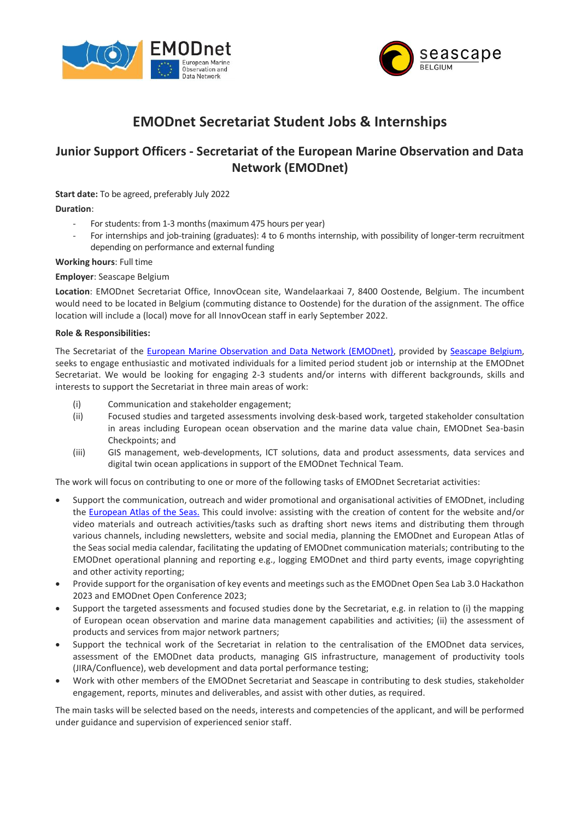



# **EMODnet Secretariat Student Jobs & Internships**

## **Junior Support Officers - Secretariat of the European Marine Observation and Data Network (EMODnet)**

**Start date:** To be agreed, preferably July 2022

**Duration**:

- For students: from 1-3 months (maximum 475 hours per year)
- For internships and job-training (graduates): 4 to 6 months internship, with possibility of longer-term recruitment depending on performance and external funding

### **Working hours**: Full time

### **Employer**: Seascape Belgium

**Location**: EMODnet Secretariat Office, InnovOcean site, Wandelaarkaai 7, 8400 Oostende, Belgium. The incumbent would need to be located in Belgium (commuting distance to Oostende) for the duration of the assignment. The office location will include a (local) move for all InnovOcean staff in early September 2022.

#### **Role & Responsibilities:**

The Secretariat of the [European Marine Observation and Data Network \(EMODnet\),](http://www.emodnet.eu/) provided by [Seascape Belgium,](http://www.seascapebelgium.be/) seeks to engage enthusiastic and motivated individuals for a limited period student job or internship at the EMODnet Secretariat. We would be looking for engaging 2-3 students and/or interns with different backgrounds, skills and interests to support the Secretariat in three main areas of work:

- (i) Communication and stakeholder engagement;
- (ii) Focused studies and targeted assessments involving desk-based work, targeted stakeholder consultation in areas including European ocean observation and the marine data value chain, EMODnet Sea-basin Checkpoints; and
- (iii) GIS management, web-developments, ICT solutions, data and product assessments, data services and digital twin ocean applications in support of the EMODnet Technical Team.

The work will focus on contributing to one or more of the following tasks of EMODnet Secretariat activities:

- Support the communication, outreach and wider promotional and organisational activities of EMODnet, including the [European Atlas of the Seas.](https://ec.europa.eu/maritimeaffairs/atlas_en) This could involve: assisting with the creation of content for the website and/or video materials and outreach activities/tasks such as drafting short news items and distributing them through various channels, including newsletters, website and social media, planning the EMODnet and European Atlas of the Seas social media calendar, facilitating the updating of EMODnet communication materials; contributing to the EMODnet operational planning and reporting e.g., logging EMODnet and third party events, image copyrighting and other activity reporting;
- Provide support for the organisation of key events and meetings such as the EMODnet Open Sea Lab 3.0 Hackathon 2023 and EMODnet Open Conference 2023;
- Support the targeted assessments and focused studies done by the Secretariat, e.g. in relation to (i) the mapping of European ocean observation and marine data management capabilities and activities; (ii) the assessment of products and services from major network partners;
- Support the technical work of the Secretariat in relation to the centralisation of the EMODnet data services, assessment of the EMODnet data products, managing GIS infrastructure, management of productivity tools (JIRA/Confluence), web development and data portal performance testing;
- Work with other members of the EMODnet Secretariat and Seascape in contributing to desk studies, stakeholder engagement, reports, minutes and deliverables, and assist with other duties, as required.

The main tasks will be selected based on the needs, interests and competencies of the applicant, and will be performed under guidance and supervision of experienced senior staff.